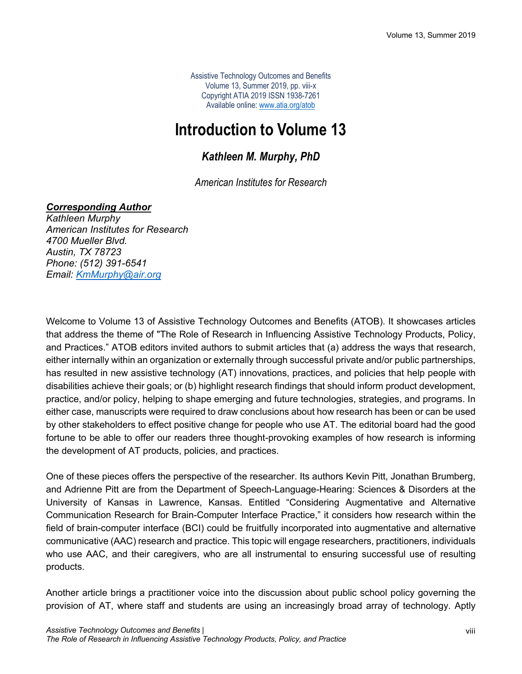Assistive Technology Outcomes and Benefits Volume 13, Summer 2019, pp. viii-x Copyright ATIA 2019 ISSN 1938-7261 Available online: www.atia.org/atob

# **Introduction to Volume 13**

## *Kathleen M. Murphy, PhD*

### *American Institutes for Research*

#### *Corresponding Author*

*Kathleen Murphy American Institutes for Research 4700 Mueller Blvd. Austin, TX 78723 Phone: (512) 391-6541 Email: KmMurphy@air.org*

Welcome to Volume 13 of Assistive Technology Outcomes and Benefits (ATOB). It showcases articles that address the theme of "The Role of Research in Influencing Assistive Technology Products, Policy, and Practices." ATOB editors invited authors to submit articles that (a) address the ways that research, either internally within an organization or externally through successful private and/or public partnerships, has resulted in new assistive technology (AT) innovations, practices, and policies that help people with disabilities achieve their goals; or (b) highlight research findings that should inform product development, practice, and/or policy, helping to shape emerging and future technologies, strategies, and programs. In either case, manuscripts were required to draw conclusions about how research has been or can be used by other stakeholders to effect positive change for people who use AT. The editorial board had the good fortune to be able to offer our readers three thought-provoking examples of how research is informing the development of AT products, policies, and practices.

One of these pieces offers the perspective of the researcher. Its authors Kevin Pitt, Jonathan Brumberg, and Adrienne Pitt are from the Department of Speech-Language-Hearing: Sciences & Disorders at the University of Kansas in Lawrence, Kansas. Entitled "Considering Augmentative and Alternative Communication Research for Brain-Computer Interface Practice," it considers how research within the field of brain-computer interface (BCI) could be fruitfully incorporated into augmentative and alternative communicative (AAC) research and practice. This topic will engage researchers, practitioners, individuals who use AAC, and their caregivers, who are all instrumental to ensuring successful use of resulting products.

Another article brings a practitioner voice into the discussion about public school policy governing the provision of AT, where staff and students are using an increasingly broad array of technology. Aptly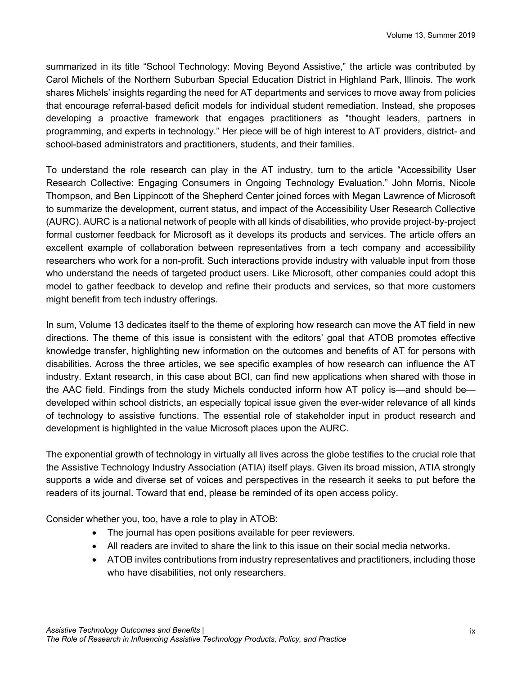summarized in its title "School Technology: Moving Beyond Assistive," the article was contributed by Carol Michels of the Northern Suburban Special Education District in Highland Park, Illinois. The work shares Michels' insights regarding the need for AT departments and services to move away from policies that encourage referral-based deficit models for individual student remediation. Instead, she proposes developing a proactive framework that engages practitioners as "thought leaders, partners in programming, and experts in technology." Her piece will be of high interest to AT providers, district- and school-based administrators and practitioners, students, and their families.

To understand the role research can play in the AT industry, turn to the article "Accessibility User Research Collective: Engaging Consumers in Ongoing Technology Evaluation." John Morris, Nicole Thompson, and Ben Lippincott of the Shepherd Center joined forces with Megan Lawrence of Microsoft to summarize the development, current status, and impact of the Accessibility User Research Collective (AURC). AURC is a national network of people with all kinds of disabilities, who provide project-by-project formal customer feedback for Microsoft as it develops its products and services. The article offers an excellent example of collaboration between representatives from a tech company and accessibility researchers who work for a non-profit. Such interactions provide industry with valuable input from those who understand the needs of targeted product users. Like Microsoft, other companies could adopt this model to gather feedback to develop and refine their products and services, so that more customers might benefit from tech industry offerings.

In sum, Volume 13 dedicates itself to the theme of exploring how research can move the AT field in new directions. The theme of this issue is consistent with the editors' goal that ATOB promotes effective knowledge transfer, highlighting new information on the outcomes and benefits of AT for persons with disabilities. Across the three articles, we see specific examples of how research can influence the AT industry. Extant research, in this case about BCI, can find new applications when shared with those in the AAC field. Findings from the study Michels conducted inform how AT policy is—and should be developed within school districts, an especially topical issue given the ever-wider relevance of all kinds of technology to assistive functions. The essential role of stakeholder input in product research and development is highlighted in the value Microsoft places upon the AURC.

The exponential growth of technology in virtually all lives across the globe testifies to the crucial role that the Assistive Technology Industry Association (ATIA) itself plays. Given its broad mission, ATIA strongly supports a wide and diverse set of voices and perspectives in the research it seeks to put before the readers of its journal. Toward that end, please be reminded of its open access policy.

Consider whether you, too, have a role to play in ATOB:

- The journal has open positions available for peer reviewers.
- All readers are invited to share the link to this issue on their social media networks.
- ATOB invites contributions from industry representatives and practitioners, including those who have disabilities, not only researchers.